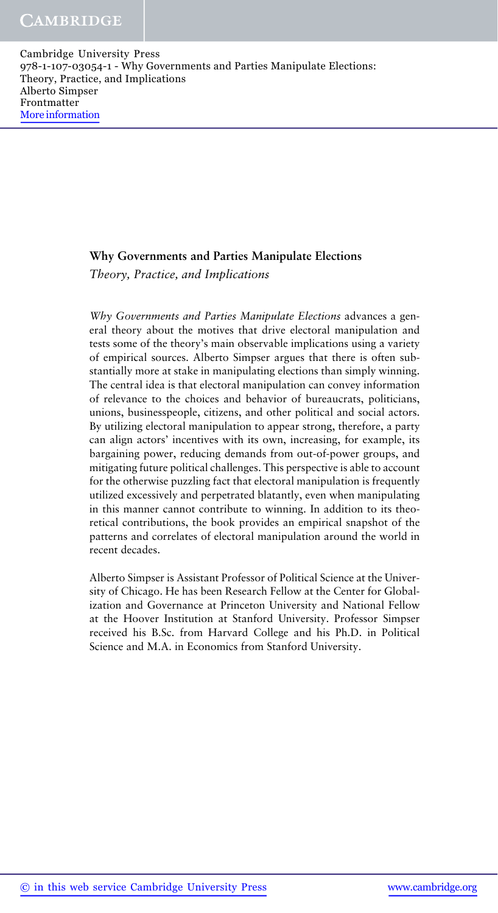#### **Why Governments and Parties Manipulate Elections**

*Theory, Practice, and Implications*

*Why Governments and Parties Manipulate Elections* advances a general theory about the motives that drive electoral manipulation and tests some of the theory's main observable implications using a variety of empirical sources. Alberto Simpser argues that there is often substantially more at stake in manipulating elections than simply winning. The central idea is that electoral manipulation can convey information of relevance to the choices and behavior of bureaucrats, politicians, unions, businesspeople, citizens, and other political and social actors. By utilizing electoral manipulation to appear strong, therefore, a party can align actors' incentives with its own, increasing, for example, its bargaining power, reducing demands from out-of-power groups, and mitigating future political challenges. This perspective is able to account for the otherwise puzzling fact that electoral manipulation is frequently utilized excessively and perpetrated blatantly, even when manipulating in this manner cannot contribute to winning. In addition to its theoretical contributions, the book provides an empirical snapshot of the patterns and correlates of electoral manipulation around the world in recent decades.

Alberto Simpser is Assistant Professor of Political Science at the University of Chicago. He has been Research Fellow at the Center for Globalization and Governance at Princeton University and National Fellow at the Hoover Institution at Stanford University. Professor Simpser received his B.Sc. from Harvard College and his Ph.D. in Political Science and M.A. in Economics from Stanford University.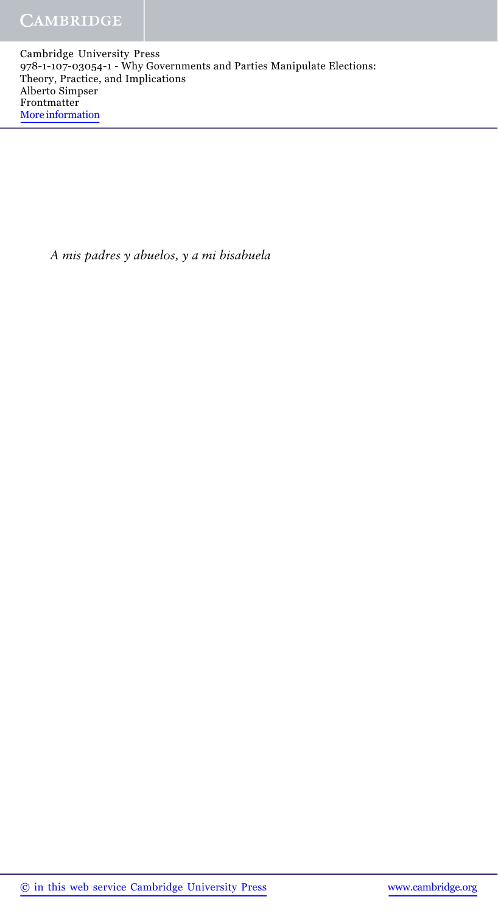*A mis padres y abuelos, y a mi bisabuela*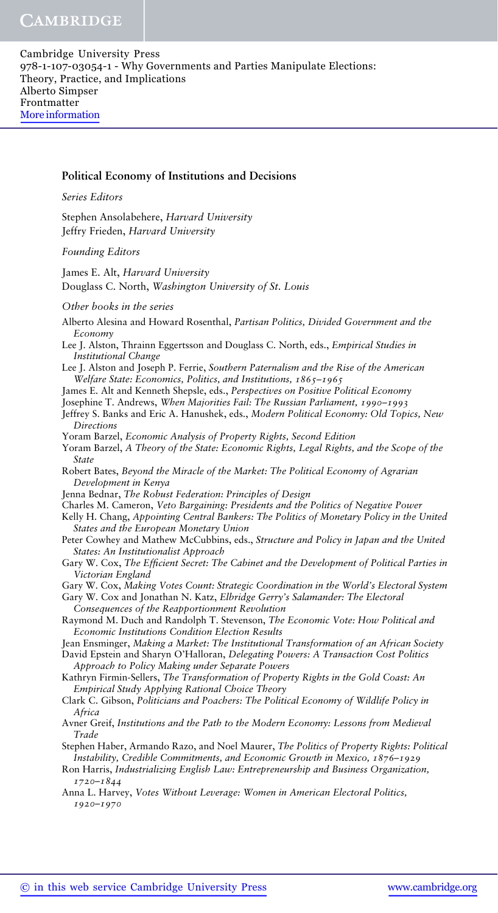#### **Political Economy of Institutions and Decisions**

*Series Editors*

Stephen Ansolabehere, *Harvard University* Jeffry Frieden, *Harvard University*

*Founding Editors*

James E. Alt, *Harvard University* Douglass C. North, *Washington University of St. Louis*

#### *Other books in the series*

Alberto Alesina and Howard Rosenthal, *Partisan Politics, Divided Government and the Economy*

Lee J. Alston, Thrainn Eggertsson and Douglass C. North, eds., *Empirical Studies in Institutional Change*

Lee J. Alston and Joseph P. Ferrie, *Southern Paternalism and the Rise of the American Welfare State: Economics, Politics, and Institutions, 1865–1965*

James E. Alt and Kenneth Shepsle, eds., *Perspectives on Positive Political Economy*

Josephine T. Andrews, *When Majorities Fail: The Russian Parliament, 1990–1993*

Jeffrey S. Banks and Eric A. Hanushek, eds., *Modern Political Economy: Old Topics, New Directions*

Yoram Barzel, *Economic Analysis of Property Rights, Second Edition*

- Yoram Barzel, *A Theory of the State: Economic Rights, Legal Rights, and the Scope of the State*
- Robert Bates, *Beyond the Miracle of the Market: The Political Economy of Agrarian Development in Kenya*
- Jenna Bednar, *The Robust Federation: Principles of Design*

Charles M. Cameron, *Veto Bargaining: Presidents and the Politics of Negative Power*

Kelly H. Chang, *Appointing Central Bankers: The Politics of Monetary Policy in the United States and the European Monetary Union*

Peter Cowhey and Mathew McCubbins, eds., *Structure and Policy in Japan and the United States: An Institutionalist Approach*

Gary W. Cox, *The Efficient Secret: The Cabinet and the Development of Political Parties in Victorian England*

Gary W. Cox, *Making Votes Count: Strategic Coordination in the World's Electoral System*

Gary W. Cox and Jonathan N. Katz, *Elbridge Gerry's Salamander: The Electoral Consequences of the Reapportionment Revolution*

Raymond M. Duch and Randolph T. Stevenson, *The Economic Vote: How Political and Economic Institutions Condition Election Results*

Jean Ensminger, *Making a Market: The Institutional Transformation of an African Society* David Epstein and Sharyn O'Halloran, *Delegating Powers: A Transaction Cost Politics Approach to Policy Making under Separate Powers*

- Kathryn Firmin-Sellers, *The Transformation of Property Rights in the Gold Coast: An Empirical Study Applying Rational Choice Theory*
- Clark C. Gibson, *Politicians and Poachers: The Political Economy of Wildlife Policy in Africa*
- Avner Greif, *Institutions and the Path to the Modern Economy: Lessons from Medieval Trade*
- Stephen Haber, Armando Razo, and Noel Maurer, *The Politics of Property Rights: Political Instability, Credible Commitments, and Economic Growth in Mexico, 1876–1929*

Ron Harris, *Industrializing English Law: Entrepreneurship and Business Organization, 1720–1844*

Anna L. Harvey, *Votes Without Leverage: Women in American Electoral Politics, 1920–1970*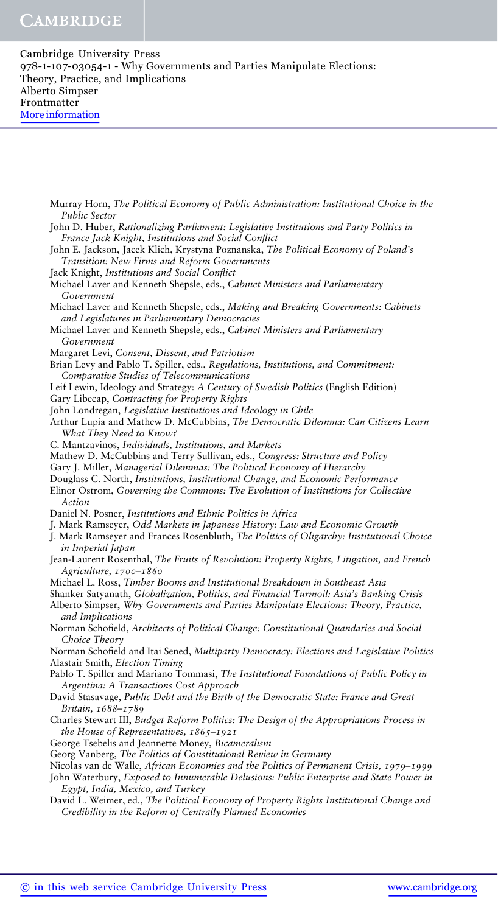Murray Horn, *The Political Economy of Public Administration: Institutional Choice in the Public Sector* John D. Huber, *Rationalizing Parliament: Legislative Institutions and Party Politics in France Jack Knight, Institutions and Social Conflict* John E. Jackson, Jacek Klich, Krystyna Poznanska, *The Political Economy of Poland's Transition: New Firms and Reform Governments* Jack Knight, *Institutions and Social Conflict* Michael Laver and Kenneth Shepsle, eds., *Cabinet Ministers and Parliamentary Government* Michael Laver and Kenneth Shepsle, eds., *Making and Breaking Governments: Cabinets and Legislatures in Parliamentary Democracies* Michael Laver and Kenneth Shepsle, eds., *Cabinet Ministers and Parliamentary Government* Margaret Levi, *Consent, Dissent, and Patriotism* Brian Levy and Pablo T. Spiller, eds., *Regulations, Institutions, and Commitment: Comparative Studies of Telecommunications* Leif Lewin, Ideology and Strategy: *A Century of Swedish Politics* (English Edition) Gary Libecap, *Contracting for Property Rights* John Londregan, *Legislative Institutions and Ideology in Chile* Arthur Lupia and Mathew D. McCubbins, *The Democratic Dilemma: Can Citizens Learn What They Need to Know?* C. Mantzavinos, *Individuals, Institutions, and Markets* Mathew D. McCubbins and Terry Sullivan, eds., *Congress: Structure and Policy* Gary J. Miller, *Managerial Dilemmas: The Political Economy of Hierarchy* Douglass C. North, *Institutions, Institutional Change, and Economic Performance* Elinor Ostrom, *Governing the Commons: The Evolution of Institutions for Collective Action* Daniel N. Posner, *Institutions and Ethnic Politics in Africa* J. Mark Ramseyer, *Odd Markets in Japanese History: Law and Economic Growth* J. Mark Ramseyer and Frances Rosenbluth, *The Politics of Oligarchy: Institutional Choice in Imperial Japan* Jean-Laurent Rosenthal, *The Fruits of Revolution: Property Rights, Litigation, and French Agriculture, 1700–1860* Michael L. Ross, *Timber Booms and Institutional Breakdown in Southeast Asia* Shanker Satyanath, *Globalization, Politics, and Financial Turmoil: Asia's Banking Crisis* Alberto Simpser, *Why Governments and Parties Manipulate Elections: Theory, Practice, and Implications* Norman Schofield, *Architects of Political Change: Constitutional Quandaries and Social Choice Theory* Norman Schofield and Itai Sened, *Multiparty Democracy: Elections and Legislative Politics* Alastair Smith, *Election Timing* Pablo T. Spiller and Mariano Tommasi, *The Institutional Foundations of Public Policy in Argentina: A Transactions Cost Approach* David Stasavage, *Public Debt and the Birth of the Democratic State: France and Great Britain, 1688–1789* Charles Stewart III, *Budget Reform Politics: The Design of the Appropriations Process in the House of Representatives, 1865–1921* George Tsebelis and Jeannette Money, *Bicameralism* Georg Vanberg, *The Politics of Constitutional Review in Germany* Nicolas van de Walle, *African Economies and the Politics of Permanent Crisis, 1979–1999* John Waterbury, *Exposed to Innumerable Delusions: Public Enterprise and State Power in Egypt, India, Mexico, and Turkey* David L. Weimer, ed., *The Political Economy of Property Rights Institutional Change and Credibility in the Reform of Centrally Planned Economies*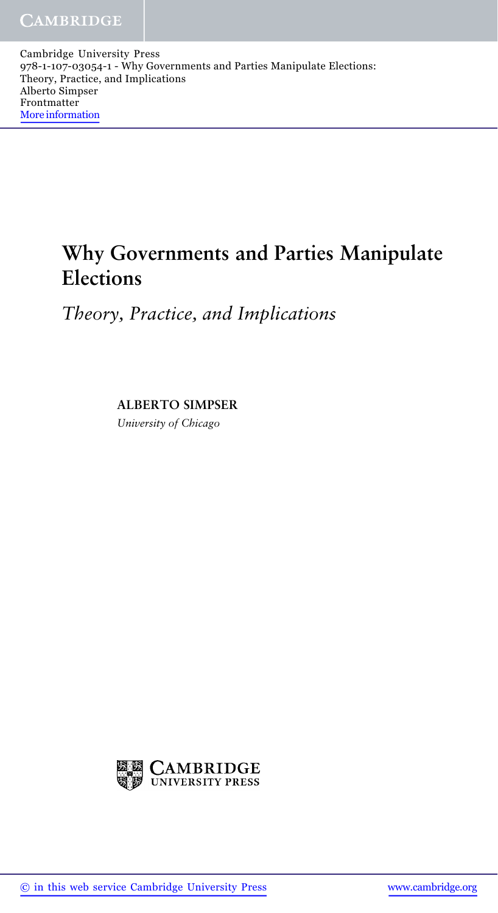# **Why Governments and Parties Manipulate Elections**

*Theory, Practice, and Implications*

**ALBERTO SIMPSER** *University of Chicago*

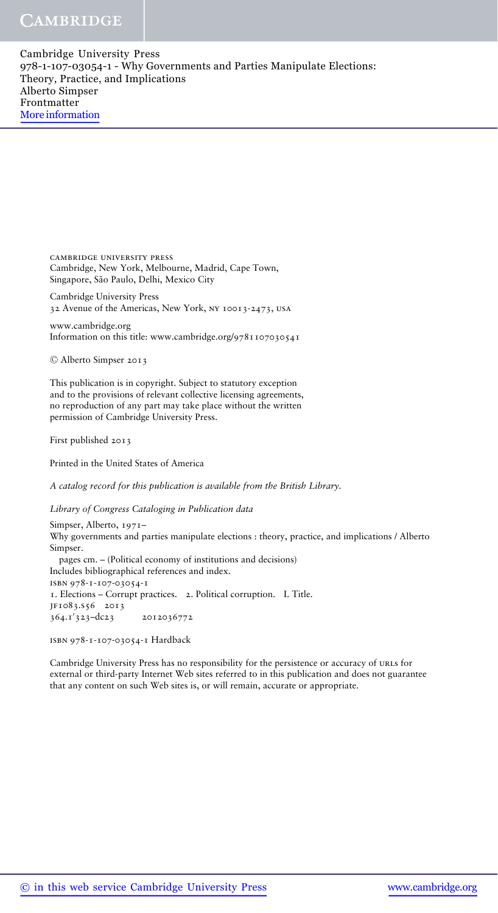cambridge university press Cambridge, New York, Melbourne, Madrid, Cape Town, Singapore, São Paulo, Delhi, Mexico City

Cambridge University Press 32 Avenue of the Americas, New York, ny 10013-2473, usa

www.cambridge.org Information on this title: www.cambridge.org/9781107030541

-<sup>C</sup> Alberto Simpser 2013

This publication is in copyright. Subject to statutory exception and to the provisions of relevant collective licensing agreements, no reproduction of any part may take place without the written permission of Cambridge University Press.

First published 2013

Printed in the United States of America

*A catalog record for this publication is available from the British Library.*

#### *Library of Congress Cataloging in Publication data*

Simpser, Alberto, 1971– Why governments and parties manipulate elections : theory, practice, and implications / Alberto Simpser. pages cm. – (Political economy of institutions and decisions) Includes bibliographical references and index. isbn 978-1-107-03054-1 1. Elections – Corrupt practices. 2. Political corruption. I. Title. jf1083.s56 2013 364.1'323-dc23 2012036772

isbn 978-1-107-03054-1 Hardback

Cambridge University Press has no responsibility for the persistence or accuracy of urls for external or third-party Internet Web sites referred to in this publication and does not guarantee that any content on such Web sites is, or will remain, accurate or appropriate.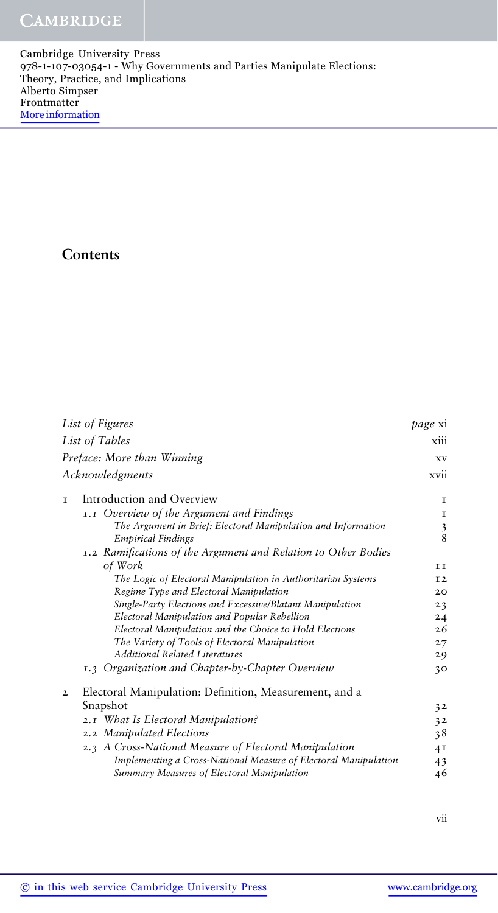### **Contents**

| List of Figures                                                                            | page xi        |
|--------------------------------------------------------------------------------------------|----------------|
| List of Tables                                                                             | X111           |
| Preface: More than Winning                                                                 | XV             |
| Acknowledgments                                                                            | <b>XVII</b>    |
| Introduction and Overview<br>T                                                             | I              |
| I.I Overview of the Argument and Findings                                                  | $\mathbf I$    |
| The Argument in Brief: Electoral Manipulation and Information<br><b>Empirical Findings</b> | $\frac{3}{8}$  |
| 1.2 Ramifications of the Argument and Relation to Other Bodies                             |                |
| of Work                                                                                    | II             |
| The Logic of Electoral Manipulation in Authoritarian Systems                               | I <sub>2</sub> |
| Regime Type and Electoral Manipulation                                                     | 20             |
| Single-Party Elections and Excessive/Blatant Manipulation                                  | 23             |
| Electoral Manipulation and Popular Rebellion                                               | 24             |
| Electoral Manipulation and the Choice to Hold Elections                                    | 26             |
| The Variety of Tools of Electoral Manipulation                                             | 27             |
| <b>Additional Related Literatures</b>                                                      | 29             |
| 1.3 Organization and Chapter-by-Chapter Overview                                           | 30             |
| Electoral Manipulation: Definition, Measurement, and a<br>$\mathbf{2}$                     |                |
| Snapshot                                                                                   | 32             |
| 2.1 What Is Electoral Manipulation?                                                        | 32             |
| 2.2 Manipulated Elections                                                                  | 38             |
| 2.3 A Cross-National Measure of Electoral Manipulation                                     | 4Ι             |
| Implementing a Cross-National Measure of Electoral Manipulation                            | 43             |
| Summary Measures of Electoral Manipulation                                                 | 46             |

vii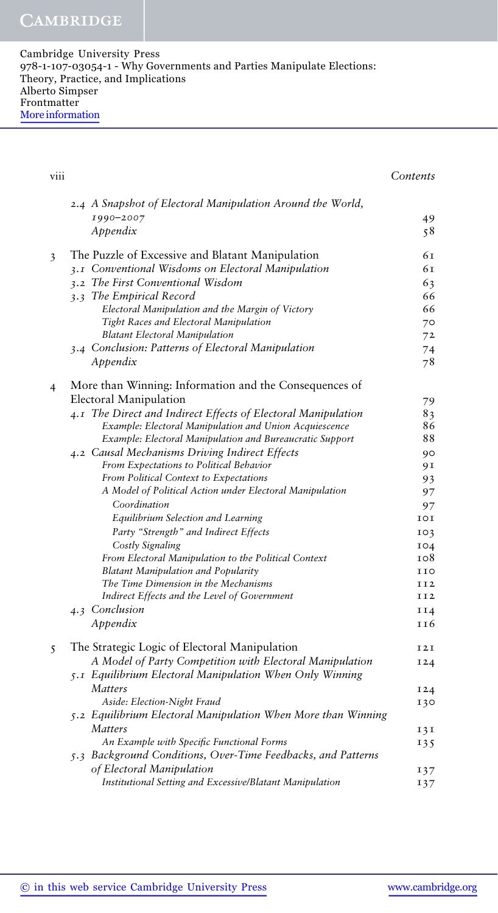### **CAMBRIDGE**

| Cambridge University Press                                            |  |
|-----------------------------------------------------------------------|--|
| 978-1-107-03054-1 - Why Governments and Parties Manipulate Elections: |  |
| Theory, Practice, and Implications                                    |  |
| Alberto Simpser                                                       |  |
| Frontmatter                                                           |  |
| <b>More information</b>                                               |  |

| viii                    |                                                                                                                                                                                                                                                                                                                                                                                                                                                                                                                                                                                                                                                                                                                                                                                                                           | Contents                                                                                                                                  |
|-------------------------|---------------------------------------------------------------------------------------------------------------------------------------------------------------------------------------------------------------------------------------------------------------------------------------------------------------------------------------------------------------------------------------------------------------------------------------------------------------------------------------------------------------------------------------------------------------------------------------------------------------------------------------------------------------------------------------------------------------------------------------------------------------------------------------------------------------------------|-------------------------------------------------------------------------------------------------------------------------------------------|
|                         | 2.4 A Snapshot of Electoral Manipulation Around the World,<br>1990-2007<br>Appendix                                                                                                                                                                                                                                                                                                                                                                                                                                                                                                                                                                                                                                                                                                                                       | 49<br>58                                                                                                                                  |
| $\overline{\mathbf{3}}$ | The Puzzle of Excessive and Blatant Manipulation<br>3.1 Conventional Wisdoms on Electoral Manipulation<br>3.2 The First Conventional Wisdom<br>3.3 The Empirical Record<br>Electoral Manipulation and the Margin of Victory<br>Tight Races and Electoral Manipulation<br><b>Blatant Electoral Manipulation</b><br>3.4 Conclusion: Patterns of Electoral Manipulation<br>Appendix                                                                                                                                                                                                                                                                                                                                                                                                                                          | 61<br>61<br>63<br>66<br>66<br>70<br>72<br>74<br>78                                                                                        |
| 4                       | More than Winning: Information and the Consequences of<br><b>Electoral Manipulation</b><br>4.1 The Direct and Indirect Effects of Electoral Manipulation<br>Example: Electoral Manipulation and Union Acquiescence<br>Example: Electoral Manipulation and Bureaucratic Support<br>4.2 Causal Mechanisms Driving Indirect Effects<br>From Expectations to Political Behavior<br>From Political Context to Expectations<br>A Model of Political Action under Electoral Manipulation<br>Coordination<br>Equilibrium Selection and Learning<br>Party "Strength" and Indirect Effects<br>Costly Signaling<br>From Electoral Manipulation to the Political Context<br>Blatant Manipulation and Popularity<br>The Time Dimension in the Mechanisms<br>Indirect Effects and the Level of Government<br>4.3 Conclusion<br>Appendix | 79<br>83<br>86<br>88<br>90<br>91<br>93<br>97<br>97<br>101<br>IO3<br>IO4<br>108<br>IIO<br>II <sub>2</sub><br>II <sub>2</sub><br>II4<br>116 |
| 5                       | The Strategic Logic of Electoral Manipulation<br>A Model of Party Competition with Electoral Manipulation<br>5.1 Equilibrium Electoral Manipulation When Only Winning<br>Matters<br>Aside: Election-Night Fraud<br>5.2 Equilibrium Electoral Manipulation When More than Winning<br>Matters<br>An Example with Specific Functional Forms<br>5.3 Background Conditions, Over-Time Feedbacks, and Patterns<br>of Electoral Manipulation<br>Institutional Setting and Excessive/Blatant Manipulation                                                                                                                                                                                                                                                                                                                         | T2T<br>I24<br>124<br>130<br>131<br>135<br>137<br>137                                                                                      |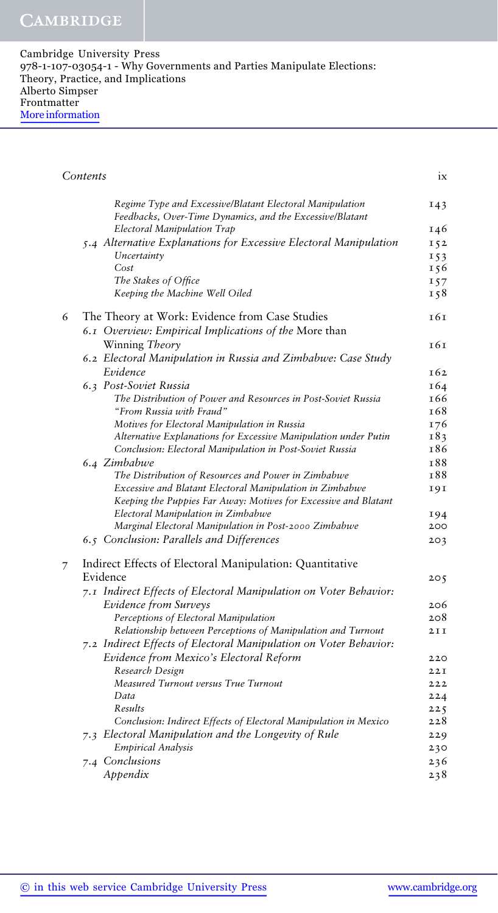| Cambridge University Press                                            |
|-----------------------------------------------------------------------|
| 978-1-107-03054-1 - Why Governments and Parties Manipulate Elections: |
| Theory, Practice, and Implications                                    |
| Alberto Simpser                                                       |
| Frontmatter                                                           |
| More information                                                      |

|   | Contents                                                                                                        | $\overline{1}X$ |
|---|-----------------------------------------------------------------------------------------------------------------|-----------------|
|   | Regime Type and Excessive/Blatant Electoral Manipulation                                                        | 143             |
|   | Feedbacks, Over-Time Dynamics, and the Excessive/Blatant                                                        |                 |
|   | <b>Electoral Manipulation Trap</b>                                                                              | 146             |
|   | 5.4 Alternative Explanations for Excessive Electoral Manipulation                                               | 152             |
|   | Uncertainty                                                                                                     | 153             |
|   | Cost                                                                                                            | 156             |
|   | The Stakes of Office                                                                                            | <b>157</b>      |
|   | Keeping the Machine Well Oiled                                                                                  | 158             |
| 6 | The Theory at Work: Evidence from Case Studies                                                                  | 161             |
|   | 6.1 Overview: Empirical Implications of the More than                                                           |                 |
|   | Winning Theory                                                                                                  | 161             |
|   | 6.2 Electoral Manipulation in Russia and Zimbabwe: Case Study                                                   |                 |
|   | Evidence                                                                                                        | 162             |
|   | 6.3 Post-Soviet Russia                                                                                          | 164             |
|   | The Distribution of Power and Resources in Post-Soviet Russia                                                   | 166             |
|   | "From Russia with Fraud"                                                                                        | 168             |
|   | Motives for Electoral Manipulation in Russia                                                                    | 176             |
|   | Alternative Explanations for Excessive Manipulation under Putin                                                 | 183             |
|   | Conclusion: Electoral Manipulation in Post-Soviet Russia                                                        | 186             |
|   | 6.4 Zimbabwe                                                                                                    | 188             |
|   |                                                                                                                 | 188             |
|   | The Distribution of Resources and Power in Zimbabwe<br>Excessive and Blatant Electoral Manipulation in Zimbabwe |                 |
|   | Keeping the Puppies Far Away: Motives for Excessive and Blatant                                                 | 191             |
|   | Electoral Manipulation in Zimbabwe                                                                              | 194             |
|   | Marginal Electoral Manipulation in Post-2000 Zimbabwe                                                           | 200             |
|   | 6.5 Conclusion: Parallels and Differences                                                                       | 203             |
| 7 | Indirect Effects of Electoral Manipulation: Quantitative                                                        |                 |
|   | Evidence                                                                                                        | 205             |
|   | 7.1 Indirect Effects of Electoral Manipulation on Voter Behavior:                                               |                 |
|   | Evidence from Surveys                                                                                           | 206             |
|   | Perceptions of Electoral Manipulation                                                                           | 208             |
|   | Relationship between Perceptions of Manipulation and Turnout                                                    | 2II             |
|   | 7.2 Indirect Effects of Electoral Manipulation on Voter Behavior:                                               |                 |
|   | Evidence from Mexico's Electoral Reform                                                                         | 220             |
|   | Research Design                                                                                                 | 22I             |
|   | Measured Turnout versus True Turnout                                                                            | 222             |
|   | Data                                                                                                            | 224             |
|   | Results                                                                                                         | 225             |
|   | Conclusion: Indirect Effects of Electoral Manipulation in Mexico                                                | 228             |
|   | 7.3 Electoral Manipulation and the Longevity of Rule                                                            | 229             |
|   | <b>Empirical Analysis</b>                                                                                       | 230             |
|   | 7.4 Conclusions                                                                                                 | 236             |
|   | Appendix                                                                                                        |                 |
|   |                                                                                                                 | 238             |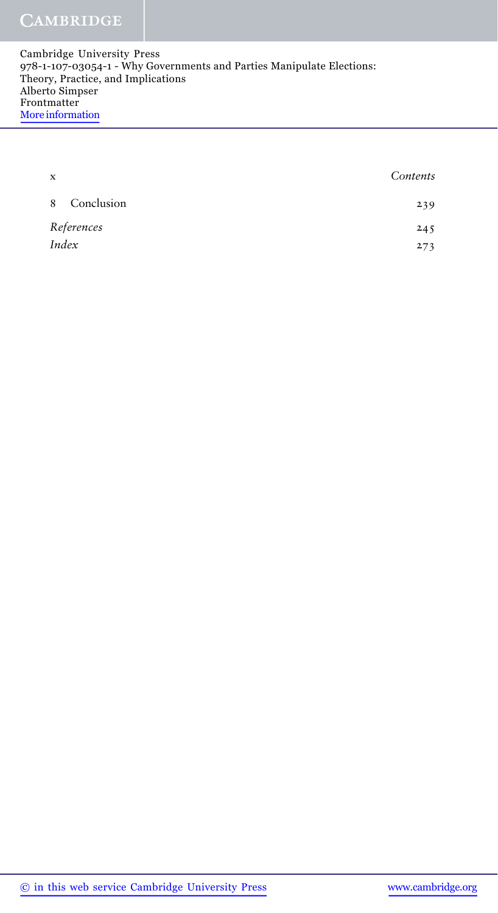| $\mathbf x$      | Contents |
|------------------|----------|
| Conclusion<br>-8 | 239      |
| References       | 245      |
| Index            | 273      |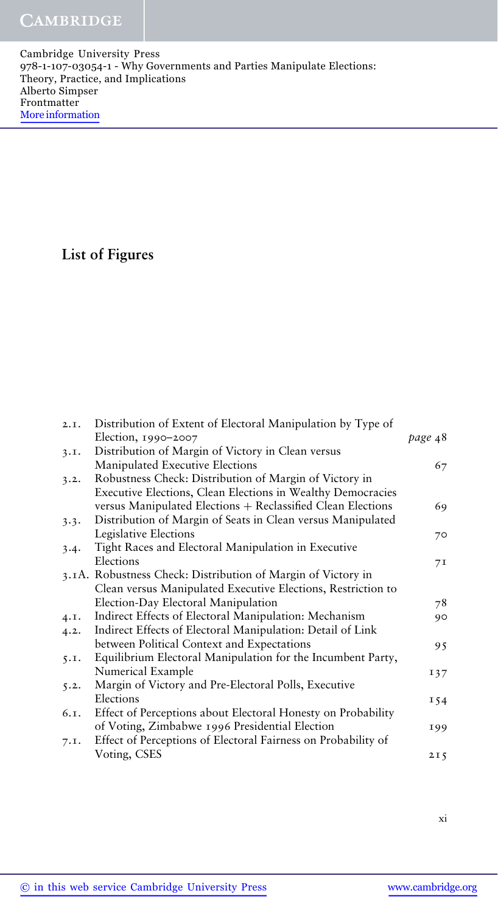## **List of Figures**

| 2.I.           | Distribution of Extent of Electoral Manipulation by Type of   |         |
|----------------|---------------------------------------------------------------|---------|
|                | Election, 1990-2007                                           | page 48 |
| 3.1.           | Distribution of Margin of Victory in Clean versus             |         |
|                | Manipulated Executive Elections                               | 67      |
| 3.2.           | Robustness Check: Distribution of Margin of Victory in        |         |
|                | Executive Elections, Clean Elections in Wealthy Democracies   |         |
|                | versus Manipulated Elections + Reclassified Clean Elections   | 69      |
| 3.3.           | Distribution of Margin of Seats in Clean versus Manipulated   |         |
|                | Legislative Elections                                         | 70      |
| 3.4.           | Tight Races and Electoral Manipulation in Executive           |         |
|                | Elections                                                     | 7 I     |
|                | 3.1A. Robustness Check: Distribution of Margin of Victory in  |         |
|                | Clean versus Manipulated Executive Elections, Restriction to  |         |
|                | Election-Day Electoral Manipulation                           | 78      |
| $4.\mathbf{I}$ | Indirect Effects of Electoral Manipulation: Mechanism         | 90      |
| 4.2.           | Indirect Effects of Electoral Manipulation: Detail of Link    |         |
|                | between Political Context and Expectations                    | 95      |
| 5.1.           | Equilibrium Electoral Manipulation for the Incumbent Party,   |         |
|                | Numerical Example                                             | 137     |
| 5.2.           | Margin of Victory and Pre-Electoral Polls, Executive          |         |
|                | Elections                                                     | I 54    |
| 6.1.           | Effect of Perceptions about Electoral Honesty on Probability  |         |
|                | of Voting, Zimbabwe 1996 Presidential Election                | 199     |
| 7.1.           | Effect of Perceptions of Electoral Fairness on Probability of |         |
|                | Voting, CSES                                                  | 2I5     |
|                |                                                               |         |

xi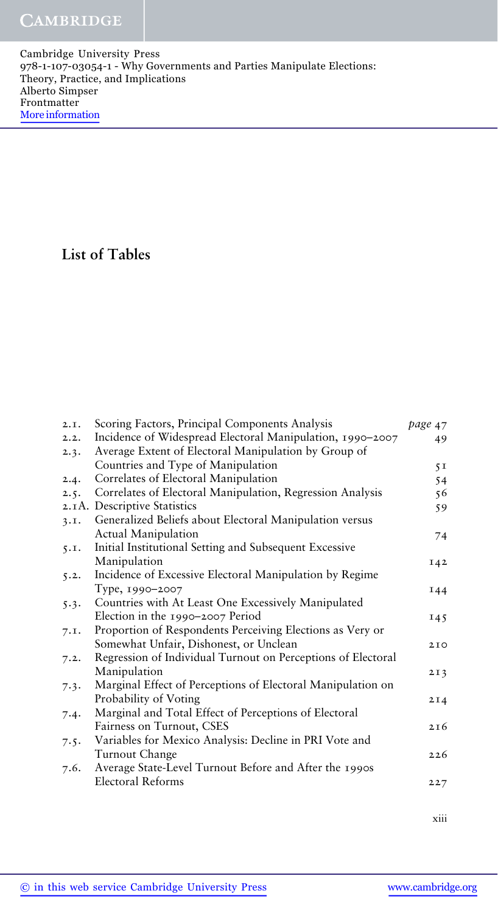# **List of Tables**

| 2.I. | Scoring Factors, Principal Components Analysis               | page 47        |
|------|--------------------------------------------------------------|----------------|
| 2.2. | Incidence of Widespread Electoral Manipulation, 1990-2007    | 49             |
| 2.3. | Average Extent of Electoral Manipulation by Group of         |                |
|      | Countries and Type of Manipulation                           | 5 <sub>I</sub> |
| 2.4. | Correlates of Electoral Manipulation                         | 54             |
| 2.5. | Correlates of Electoral Manipulation, Regression Analysis    | 56             |
|      | 2.1A. Descriptive Statistics                                 | 59             |
| 3.1. | Generalized Beliefs about Electoral Manipulation versus      |                |
|      | <b>Actual Manipulation</b>                                   | 74             |
| 5.1. | Initial Institutional Setting and Subsequent Excessive       |                |
|      | Manipulation                                                 | 142            |
| 5.2. | Incidence of Excessive Electoral Manipulation by Regime      |                |
|      | Type, 1990-2007                                              | 144            |
| 5.3. | Countries with At Least One Excessively Manipulated          |                |
|      | Election in the 1990–2007 Period                             | 145            |
| 7.1. | Proportion of Respondents Perceiving Elections as Very or    |                |
|      | Somewhat Unfair, Dishonest, or Unclean                       | 2IO            |
| 7.2. | Regression of Individual Turnout on Perceptions of Electoral |                |
|      | Manipulation                                                 | 2I3            |
| 7.3. | Marginal Effect of Perceptions of Electoral Manipulation on  |                |
|      | Probability of Voting                                        | 2I4            |
| 7.4. | Marginal and Total Effect of Perceptions of Electoral        |                |
|      | Fairness on Turnout, CSES                                    | 216            |
| 7.5. | Variables for Mexico Analysis: Decline in PRI Vote and       |                |
|      | Turnout Change                                               | 226            |
| 7.6. | Average State-Level Turnout Before and After the 1990s       |                |
|      | <b>Electoral Reforms</b>                                     | 227            |
|      |                                                              |                |

xiii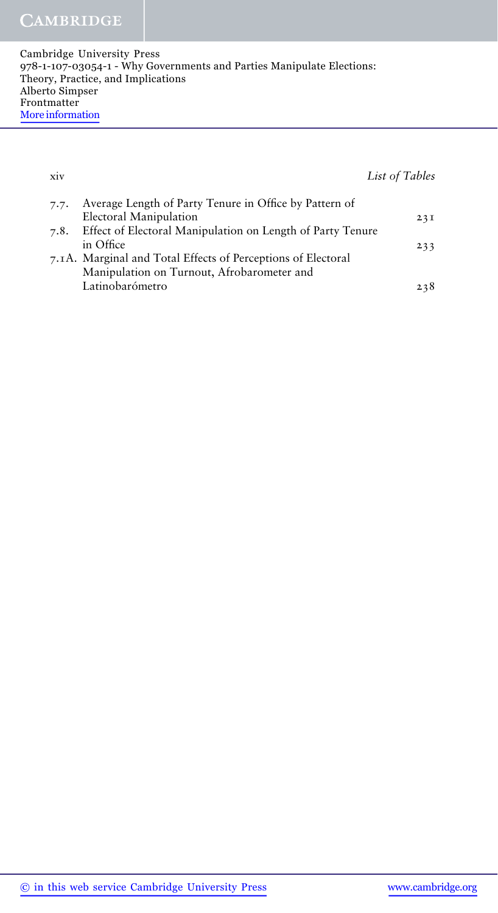| <b>XIV</b> |                                                                 | List of Tables |
|------------|-----------------------------------------------------------------|----------------|
| 7.7.       | Average Length of Party Tenure in Office by Pattern of          |                |
|            | <b>Electoral Manipulation</b>                                   | 23I            |
|            | 7.8. Effect of Electoral Manipulation on Length of Party Tenure |                |
|            | in Office                                                       | 233            |
|            | 7.1A. Marginal and Total Effects of Perceptions of Electoral    |                |
|            | Manipulation on Turnout, Afrobarometer and                      |                |
|            | Latinobarómetro                                                 |                |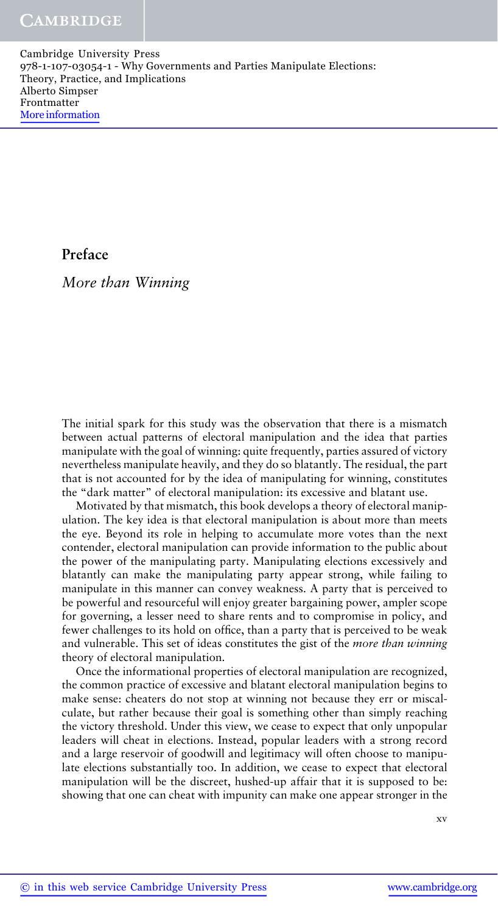#### **Preface**

*More than Winning*

The initial spark for this study was the observation that there is a mismatch between actual patterns of electoral manipulation and the idea that parties manipulate with the goal of winning: quite frequently, parties assured of victory nevertheless manipulate heavily, and they do so blatantly. The residual, the part that is not accounted for by the idea of manipulating for winning, constitutes the "dark matter" of electoral manipulation: its excessive and blatant use.

Motivated by that mismatch, this book develops a theory of electoral manipulation. The key idea is that electoral manipulation is about more than meets the eye. Beyond its role in helping to accumulate more votes than the next contender, electoral manipulation can provide information to the public about the power of the manipulating party. Manipulating elections excessively and blatantly can make the manipulating party appear strong, while failing to manipulate in this manner can convey weakness. A party that is perceived to be powerful and resourceful will enjoy greater bargaining power, ampler scope for governing, a lesser need to share rents and to compromise in policy, and fewer challenges to its hold on office, than a party that is perceived to be weak and vulnerable. This set of ideas constitutes the gist of the *more than winning* theory of electoral manipulation.

Once the informational properties of electoral manipulation are recognized, the common practice of excessive and blatant electoral manipulation begins to make sense: cheaters do not stop at winning not because they err or miscalculate, but rather because their goal is something other than simply reaching the victory threshold. Under this view, we cease to expect that only unpopular leaders will cheat in elections. Instead, popular leaders with a strong record and a large reservoir of goodwill and legitimacy will often choose to manipulate elections substantially too. In addition, we cease to expect that electoral manipulation will be the discreet, hushed-up affair that it is supposed to be: showing that one can cheat with impunity can make one appear stronger in the

xv